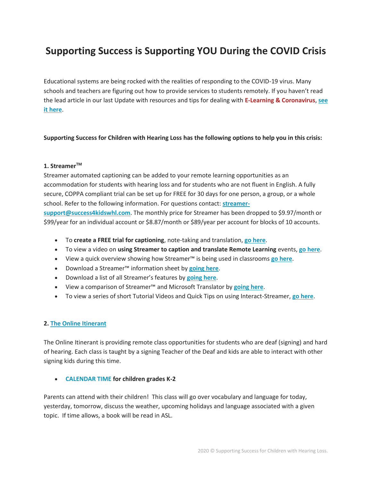# **Supporting Success is Supporting YOU During the COVID Crisis**

Educational systems are being rocked with the realities of responding to the COVID-19 virus. Many schools and teachers are figuring out how to provide services to students remotely. If you haven't read the lead article in our last Update with resources and tips for dealing with **E-Learning & Coronavirus**, **[see](https://mailchi.mp/success4kidswhl.com/late-march-2020)  [it here](https://mailchi.mp/success4kidswhl.com/late-march-2020)**.

## **Supporting Success for Children with Hearing Loss has the following options to help you in this crisis:**

## **1. StreamerTM**

Streamer automated captioning can be added to your remote learning opportunities as an accommodation for students with hearing loss and for students who are not fluent in English. A fully secure, COPPA compliant trial can be set up for FREE for 30 days for one person, a group, or a whole school. Refer to the following information. For questions contact: **[streamer-](mailto:streamer-support@success4kidswhl.com)**

**[support@success4kidswhl.com](mailto:streamer-support@success4kidswhl.com)**. The monthly price for Streamer has been dropped to \$9.97/month or \$99/year for an individual account or \$8.87/month or \$89/year per account for blocks of 10 accounts.

- To **create a FREE trial for captioning**, note-taking and translation, **[go here](http://tinyurl.com/SuccessForChildren)**.
- To view a video on **using Streamer to caption and translate Remote Learning** events, **[go here](https://youtu.be/4JV5JRSXOeE)**.
- View a quick overview showing how Streamer™ is being used in classrooms **[go here](https://youtu.be/G-aMu8KiKDk)**.
- Download a Streamer™ information sheet by **[going here](https://bit.ly/2x87ng2)**.
- Download a list of all Streamer's features by **[going here](http://bit.ly/StreamerFeatures)**.
- View a comparison of Streamer™ and Microsoft Translator by **[going here](https://bit.ly/2D4gdOy)**.
- To view a series of short Tutorial Videos and Quick Tips on using Interact-Streamer, **[go here](https://bit.ly/2R7WylY)**.

# **2. [The Online Itinerant](http://www.theonlineitinerant.com/)**

The Online Itinerant is providing remote class opportunities for students who are deaf (signing) and hard of hearing. Each class is taught by a signing Teacher of the Deaf and kids are able to interact with other signing kids during this time.

#### • **[CALENDAR TIME](http://email.c.kajabimail.net/c/eJxlT7mOwjAU_Jq4QbJ88LBduGCDIlFQ0SwVMvHLxpADmSci_h4vLdJophhpjugBYryw5JVQQmhppBNCAJcctg38bKCuG2Nr65pqLVp-C9dwSWNIA5-QWO_XrYphIzoHrZE2WANWh4hdpwGUg8AG3xPdH5XeVqopWJaFU4_zNKQJExXKYSLezmMxHzRnLDoe8virTz3D_6pzxCE9Mb_OKXqptJZSOmVY9t9BZeXfZ14JZOSPiXC131WqPHNGvwE4MEp9) for children grades K-2**

Parents can attend with their children! This class will go over vocabulary and language for today, yesterday, tomorrow, discuss the weather, upcoming holidays and language associated with a given topic. If time allows, a book will be read in ASL.